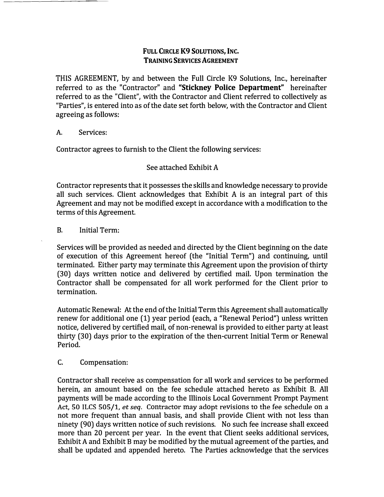## **FULL CIRCLE K9 SOLUTIONS, INC, TRAINING SERVICES AGREEMENT**

THIS AGREEMENT, by and between the Full Circle K9 Solutions, Inc., hereinafter referred to as the "Contractor" and **"Stickney Police Department"** hereinafter referred to as the "Client", with the Contractor and Client referred to collectively as "Parties", is entered into as of the date set forth below, with the Contractor and Client agreeing as follows:

## A. Services:

Contractor agrees to furnish to the Client the following services:

## See attached Exhibit A

Contractor represents that it possesses the skills and knowledge necessary to provide all such services. Client acknowledges that Exhibit A is an integral part of this Agreement and may not be modified except in accordance with a modification to the terms of this Agreement.

## B. Initial Term:

Services will be provided as needed and directed by the Client beginning on the date of execution of this Agreement hereof (the "Initial Term") and continuing, until terminated. Either party may terminate this Agreement upon the provision of thirty (30) days written notice and delivered by certified mail. Upon termination the Contractor shall be compensated for all work performed for the Client prior to termination.

Automatic Renewal: At the end of the Initial Term this Agreement shall automatically renew for additional one (1) year period (each, a "Renewal Period") unless written notice, delivered by certified mail, of non-renewal is provided to either party at least thirty (30) days prior to the expiration of the then-current Initial Term or Renewal Period.

## C. Compensation:

Contractor shall receive as compensation for all work and services to be performed herein, an amount based on the fee schedule attached hereto as Exhibit B. All payments will be made according to the Illinois Local Government Prompt Payment Act, 50 ILCS 505/1, *et seq.* Contractor may adopt revisions to the fee schedule on a not more frequent than annual basis, and shall provide Client with not less than ninety (90) days written notice of such revisions. No such fee increase shall exceed more than 20 percent per year. In the event that Client seeks additional services, Exhibit A and Exhibit B may be modified by the mutual agreement of the parties, and shall be updated and appended hereto. The Parties acknowledge that the services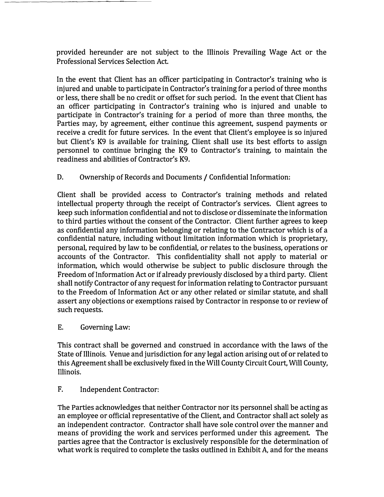**provided hereunder are not subject to the Illinois Prevailing Wage Act or the Professional Services Selection Act.** 

**In the event that Client has an officer participating in Contractor's training who is injured and unable to participate in Contractor's training for a period of three months or less, there shall be no credit or offset for such period. In the event that Client has an officer participating in Contractor's training who is injured and unable to participate in Contractor's training for a period of more than three months, the Parties may, by agreement, either continue this agreement, suspend payments or receive a credit for future services. In the event that Client's employee is so injured but Client's K9 is available for training, Client shall use its best efforts to assign personnel to continue bringing the K9 to Contractor's training, to maintain the readiness and abilities of Contractor's K9.** 

**D. Ownership of Records and Documents / Confidential Information:** 

**Client shall be provided access to Contractor's training methods and related intellectual property through the receipt of Contractor's services. Client agrees to keep such information confidential and not to disclose or disseminate the information to third parties without the consent of the Contractor. Client further agrees to keep as confidential any information belonging or relating to the Contractor which is of a confidential nature, including without limitation information which is proprietary, personal, required by law to be confidential, or relates to the business, operations or accounts of the Contractor. This confidentiality shall not apply to material or information, which would otherwise be subject to public disclosure through the Freedom of Information Act or if already previously disclosed by a third party. Client shall notify Contractor of any request for information relating to Contractor pursuant to the Freedom of Information Act or any other related or similar statute, and shall assert any objections or exemptions raised by Contractor in response to or review of such requests.** 

**E. Governing Law:** 

**This contract shall be governed and construed in accordance with the laws of the State of Illinois. Venue and jurisdiction for any legal action arising out of or related to this Agreement shall be exclusively fixed in the Will County Circuit Court, Will County, Illinois.** 

**F. Independent Contractor:** 

**The Parties acknowledges that neither Contractor nor its personnel shall be acting as an employee or official representative of the Client, and Contractor shall act solely as an independent contractor. Contractor shall have sole control over the manner and means of providing the work and services performed under this agreement The parties agree that the Contractor is exclusively responsible for the determination of what work is required to complete the tasks outlined in Exhibit A, and for the means**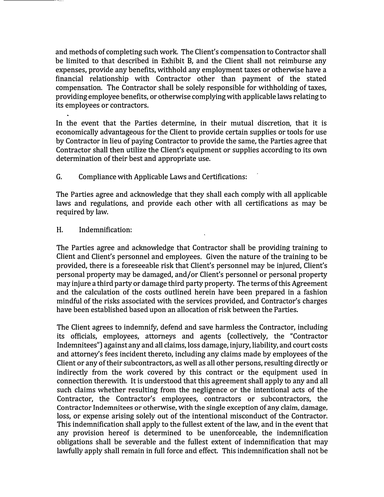and methods of completing such work. The Client's compensation to Contractor shall be limited to that described in Exhibit B, and the Client shall not reimburse any expenses, provide any benefits, withhold any employment taxes or otherwise have a financial relationship with Contractor other than payment of the stated compensation. The Contractor shall be solely responsible for withholding of taxes, providing employee benefits, or otherwise complying with applicable laws relating to its employees or contractors.

In the event that the Parties determine, in their mutual discretion, that it is economically advantageous for the Client to provide certain supplies or tools for use by Contractor in lieu of paying Contractor to provide the same, the Parties agree that Contractor shall then utilize the Client's equipment or supplies according to its own determination of their best and appropriate use.

G. Compliance with Applicable Laws and Certifications:

The Parties agree and acknowledge that they shall each comply with all applicable laws and regulations, and provide each other with all certifications as may be required by law.

H. Indemnification:

The Parties agree and acknowledge that Contractor shall be providing training to Client and Client's personnel and employees. Given the nature of the training to be provided, there is a foreseeable risk that Client's personnel may be injured, Client's personal property may be damaged, and/or Client's personnel or personal property may injure a third party or damage third party property. The terms of this Agreement and the calculation of the costs outlined herein have been prepared in a fashion mindful of the risks associated with the services provided, and Contractor's charges have been established based upon an allocation of risk between the Parties.

The Client agrees to indemnify, defend and save harmless the Contractor, including its officials, employees, attorneys and agents (collectively, the "Contractor Indemnitees") against any and all claims, loss damage, injury, liability, and court costs and attorney's fees incident thereto, including any claims made by employees of the Client or any of their subcontractors, as well as all other persons, resulting directly or indirectly from the work covered by this contract or the equipment used in connection therewith. It is understood that this agreement shall apply to any and all such claims whether resulting from the negligence or the intentional acts of the Contractor, the Contractor's employees, contractors or subcontractors, the Contractor Indemnitees or otherwise, with the single exception of any claim, damage, loss, or expense arising solely out of the intentional misconduct of the Contractor. This indemnification shall apply to the fullest extent of the law, and in the event that any provision hereof is determined to be unenforceable, the indemnification obligations shall be severable and the fullest extent of indemnification that may lawfully apply shall remain in full force and effect. This indemnification shall not be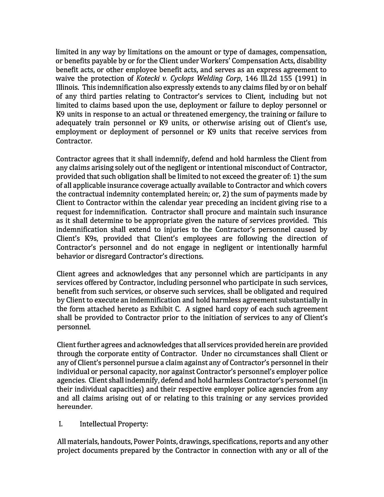**limited in any way by limitations on the amount or type of damages, compensation, or benefits payable by or for the Client under Workers' Compensation Acts, disability benefit acts, or other employee benefit acts, and serves as an express agreement to waive the protection of** *Kotecki v. Cyclops Welding Corp,* **146 Ill.2d 155 ( 1991) in Illinois. This indemnification also expressly extends to any claims filed by or on behalf of any third parties relating to Contractor's services to Client, including but not limited to claims based upon the use, deployment or failure to deploy personnel or K9 units in response to an actual or threatened emergency, the training or failure to adequately train personnel or K9 units, or otherwise arising out of Client's use, employment or deployment of personnel or K9 units that receive services from Contractor.** 

**Contractor agrees that it shall indemnify, defend and hold harmless the Client from any claims arising solely out of the negligent or intentional misconduct of Contractor, provided that such obligation shall be limited to not exceed the greater of: 1) the sum of all applicable insurance coverage actually available to Contractor and which covers the contractual indemnity contemplated herein; or, 2) the sum of payments made by Client to Contractor within the calendar year preceding an incident giving rise to a request for indemnification. Contractor shall procure and maintain such insurance as it shall determine to be appropriate given the nature of services provided. This indemnification shall extend to injuries to the Contractor's personnel caused by Client's K9s, provided that Client's employees are following the direction of Contractor's personnel and do not engage in negligent or intentionally harmful behavior or disregard Contractor's directions.** 

**Client agrees and acknowledges that any personnel which are participants in any services offered by Contractor, including personnel who participate in such services, benefit from such services, or observe such services, shall be obligated and required by Client to execute an indemnification and hold harmless agreement substantially in the form attached hereto as Exhibit C. A signed hard copy of each such agreement shall be provided to Contractor prior to the initiation of services to any of Client's personnel.** 

**Client further agrees and acknowledges that all services provided herein are provided through the corporate entity of Contractor. Under no circumstances shall Client or any of Client's personnel pursue a claim against any of Contractor's personnel in their individual or personal capacity, nor against Contractor's personnel's employer police agencies. Client shall indemnify, defend and hold harmless Contractor's personnel (in their individual capacities) and their respective employer police agencies from any and all claims arising out of or relating to this training or any services provided**  hereunder.

## **I. Intellectual Property:**

**All materials, handouts, Power Points, drawings, specifications, reports and any other project documents prepared by the Contractor in connection with any or all of the**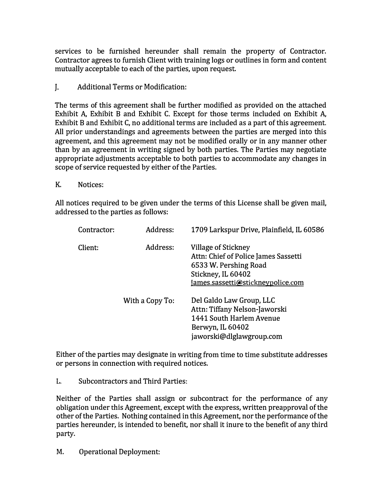services to be furnished hereunder shall remain the property of Contractor. Contractor agrees to furnish Client with training logs or outlines in form and content mutually acceptable to each of the parties, upon request.

 $\mathbf{I}$ . . Additional Terms or Modification:

The terms of this agreement shall be further modified as provided on the attached Exhibit A, Exhibit B and Exhibit C. Except for those terms included on Exhibit A, Exhibit B and Exhibit C, no additional terms are included as a part of this agreement. All prior understandings and agreements between the parties are merged into this agreement, and this agreement may not be modified orally or in any manner other than by an agreement in writing signed by both parties. The Parties may negotiate appropriate adjustments acceptable to both parties to accommodate any changes in scope of service requested by either of the Parties.

K. Notices:

All notices required to be given under the terms of this License shall be given mail, addressed to the parties as follows:

| Contractor: | Address:        | 1709 Larkspur Drive, Plainfield, IL 60586                                                                                                       |
|-------------|-----------------|-------------------------------------------------------------------------------------------------------------------------------------------------|
| Client:     | Address:        | Village of Stickney<br>Attn: Chief of Police James Sassetti<br>6533 W. Pershing Road<br>Stickney, IL 60402<br>James.sassetti@stickneypolice.com |
|             | With a Copy To: | Del Galdo Law Group, LLC<br>Attn: Tiffany Nelson-Jaworski<br>1441 South Harlem Avenue<br>Berwyn, IL 60402<br>jaworski@dlglawgroup.com           |

Either of the parties may designate in writing from time to time substitute addresses or persons in connection with required notices.

L. Subcontractors and Third Parties:

Neither of the Parties shall assign or subcontract for the performance of any obligation under this Agreement, except with the express, written preapproval of the other of the Parties. Nothing contained in this Agreement, nor the performance of the parties hereunder, is intended to benefit, nor shall it inure to the benefit of any third party.

M. Operational Deployment: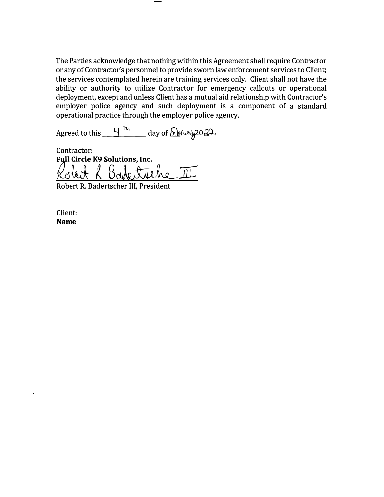**The Parties acknowledge that nothing within this Agreement shall require Contractor or any of Contractor's personnel to provide sworn law enforcement services to Client; the services contemplated herein are training services only. Client shall not have the ability or authority to utilize Contractor for emergency callouts or operational deployment, except and unless Client has a mutual aid relationship with Contractor's employer police agency and such deployment is a component of a standard operational practice through the employer police agency.** 

**Agreed to this \_\_<del>H</del>** The day of <u>*i* elefy and all</u>

**Contractor: Full Circle K9 Solutions, Inc.** Robert R Bade trehe III

**Robert R. Badertscher III, President** 

**Client: Name** 

 $\overline{\phantom{a}}$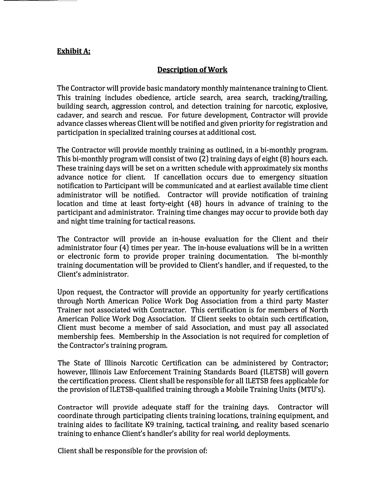## **Exhibit A:**

# **Description of Work**

**The Contractor will provide basic mandatory monthly maintenance training to Client. This training includes obedience, article search, area search, tracking/trailing, building search, aggression control, and detection training for narcotic, explosive, cadaver, and search and rescue. For future development, Contractor will provide advance classes whereas Client will be notified and given priority for registration and participation in specialized training courses at additional cost.** 

**The Contractor will provide monthly training as outlined, in a bi-monthly program. This bi-monthly program will consist of two (2) training days of eight ( 8) hours each. These training days will be set on a written schedule with approximately six months advance notice for client. If cancellation occurs due to emergency situation notification to Participant will be communicated and at earliest available time client administrator will be notified. Contractor will provide notification of training location and time at least forty-eight ( 48) hours in advance of training to the participant and administrator. Training time changes may occur to provide both day and night time training for tactical reasons.** 

**The Contractor will provide an in-house evaluation for the Client and their administrator four ( 4) times per year. The in-house evaluations will be in a written or electronic form to provide proper training documentation. The bi-monthly training documentation will be provided to Client's handler, and if requested, to the Client's administrator.** 

**Upon request, the Contractor will provide an opportunity for yearly certifications through North American Police Work Dog Association from a third party Master Trainer not associated with Contractor. This certification is for members of North American Police Work Dog Association. If Client seeks to obtain such certification, Client must become a member of said Association, and must pay all associated membership fees. Membership in the Association is not required for completion of the Contractor's training program.** 

**The State of Illinois Narcotic Certification can be administered by Contractor; however, Illinois Law Enforcement Training Standards Board ( ILETSB) will govern the certification process. Client shall be responsible for all ILETSB fees applicable for the provision of ILETSB-qualified training through a Mobile Training Units (MTU's).** 

**Contractor will provide adequate staff for the training days. Contractor will coordinate through participating clients training locations, training equipment, and training aides to facilitate K9 training, tactical training, and reality based scenario training to enhance Client's handler's ability for real world deployments.** 

**Client shall be responsible for the provision of:**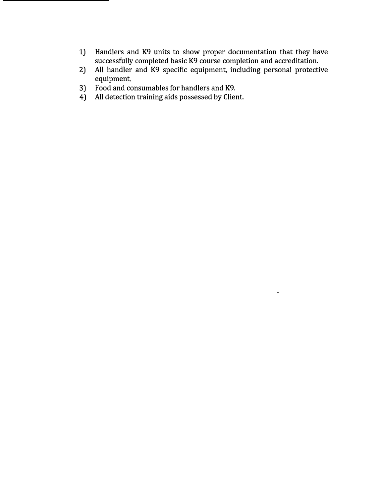- **1) Handlers and K9 units to show proper documentation that they have successfully completed basic K9 course completion and accreditation.**
- **2) All handler and K9 specific equipment, including personal protective equipment.**

l.

- **3) Food and consumables for handlers and K9.**
- **4) All detection training aids possessed by Client.**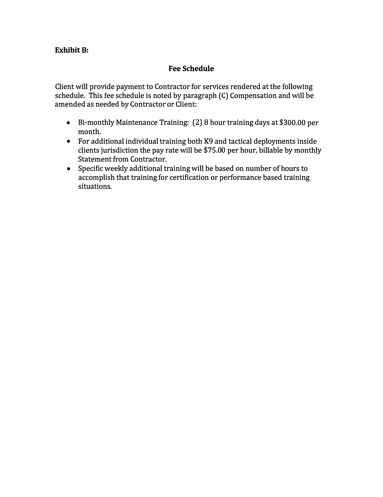# **Exhibit B:**

# **Fee Schedule**

**Client will provide payment to Contractor for services rendered at the following schedule. This fee schedule is noted by paragraph (C) Compensation and will be amended as needed by Contractor or Client:** 

- **Bi-monthly Maintenance Training: (2) 8 hour training days at \$300.00 per month.**
- **For additional individual training both K9 and tactical deployments inside clients jurisdiction the pay rate will be \$75.00 per hour, billable by monthly Statement from Contractor.**
- **Specific weekly additional training will be based on number of hours to accomplish that training for certification or performance based training situations.**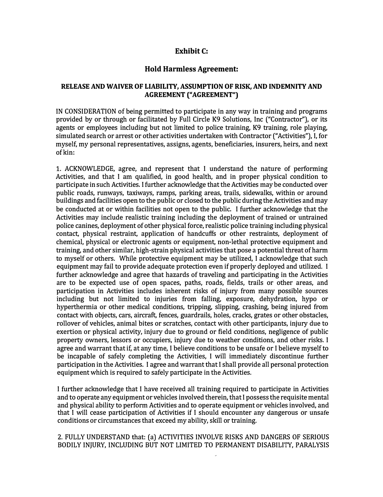#### **Exhibit C:**

#### **Hold Harmless Agreement:**

#### **RELEASE AND WAIVER OF LIABILITY, ASSUMPTION OF RISK, AND INDEMNITY AND AGREEMENT ("AGREEMENT")**

**IN CONSIDERATION of being permitted to participate in any way in training and programs provided by or through or facilitated by Full Circle K9 Solutions, Inc ("Contractor"), or its agents or employees including but not limited to police training, K9 training, role playing, simulated search or arrest or other activities undertaken with Contractor ("Activities"), I, for myself, my personal representatives, assigns, agents, beneficiaries, insurers, heirs, and next of kin:** 

**1. ACKNOWLEDGE, agree, and represent that I understand the nature of performing Activities, and that I am qualified, in good health, and in proper physical condition to participate in such Activities. I further acknowledge that the Activities may be conducted over public roads, runways, taxiways, ramps, parking areas, trails, sidewalks, within or around buildings and facilities open to the public or closed to the public during the Activities and may be conducted at or within facilities not open to the public. I further acknowledge that the Activities may include realistic training including the deployment of trained or untrained police canines, deployment of other physical force, realistic police training including physical contact, physical restraint, application of handcuffs or other restraints, deployment of chemical, physical or electronic agents or equipment, non-lethal protective equipment and training, and other similar, high-strain physical activities that pose a potential threat of harm to myself or others. While protective equipment may be utilized, I acknowledge that such equipment may fail to provide adequate protection even if properly deployed and utilized. I further acknowledge and agree that hazards of traveling and participating in the Activities are to be expected use of open spaces, paths, roads, fields, trails or other areas, and participation in Activities includes inherent risks of injury from many possible sources including but not limited to injuries from falling, exposure, dehydration, hypo or hyperthermia or other medical conditions, tripping, slipping, crashing, being injured from contact with objects, cars, aircraft, fences, guardrails, holes, cracks, grates or other obstacles, rollover of vehicles, animal bites or scratches, contact with other participants, injury due to exertion or physical activity, injury due to ground or field conditions, negligence of public property owners, lessors or occupiers, injury due to weather conditions, and other risks. I agree and warrant that if, at any time, I believe conditions to be unsafe or I believe myself to be incapable of safely completing the Activities, I will immediately discontinue further participation in the Activities. I agree and warrant that I shall provide all personal protection equipment which is required to safely participate in the Activities.** 

**I further acknowledge that I have received all training required to participate in Activities and to operate any equipment or vehicles involved therein, that I possess the requisite mental and physical ability to perform Activities and to operate equipment or vehicles involved, and that I will cease participation of Activities if I should encounter any dangerous or unsafe conditions or circumstances that exceed my ability, skill or training.** 

#### **2. FULLY UNDERSTAND that: (a) ACTIVITIES INVOLVE RISKS AND DANGERS OF SERIOUS BODILY INJURY, INCLUDING BUT NOT LIMITED TO PERMANENT DISABILITY, PARALYSIS**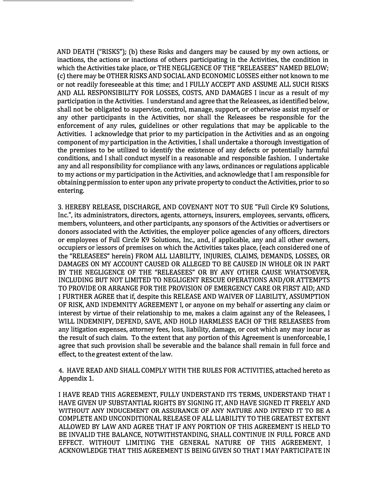AND DEATH ("RISKS"); (b) these Risks and dangers may be caused by my own actions, or inactions, the actions or inactions of others participating in the Activities, the condition in which the Activities take place, or THE NEGLIGENCE OF THE "RELEASEES" NAMED BELOW; ( c) there may be OTHER RISKS AND SOCIAL AND ECONOMIC LOSSES either not known to me or not readily foreseeable at this time; and I FULLY ACCEPT AND ASSUME ALL SUCH RISKS AND ALL RESPONSIBILITY FOR LOSSES, COSTS, AND DAMAGES I incur as a result of my participation in the Activities. I understand and agree that the Releasees, as identified below, shall not be obligated to supervise, control, manage, support, or otherwise assist myself or any other participants in the Activities, nor shall the Releasees be responsible for the enforcement of any rules, guidelines or other regulations that may be applicable to the Activities. I acknowledge that prior to my participation in the Activities and as an ongoing component of my participation in the Activities, I shall undertake a thorough investigation of the premises to be utilized to identify the existence of any defects or potentially harmful conditions, and I shall conduct myself in a reasonable and responsible fashion. I undertake any and all responsibility for compliance with any laws, ordinances or regulations applicable to my actions or my participation in the Activities, and acknowledge that I am responsible for obtaining permission to enter upon any private property to conduct the Activities, prior to so entering.

3. HEREBY RELEASE, DISCHARGE, AND COVENANT NOT TO SUE "Full Circle K9 Solutions, Inc.", its administrators, directors, agents, attorneys, insurers, employees, servants, officers, members, volunteers, and other participants, any sponsors of the Activities or advertisers or donors associated with the Activities, the employer police agencies of any officers, directors or employees of Full Circle K9 Solutions, Inc., and, if applicable, any and all other owners, occupiers or lessors of premises on which the Activities takes place, ( each considered one of the "RELEASEES" herein) FROM ALL LIABILITY, INJURIES, CLAIMS, DEMANDS, LOSSES, OR DAMAGES ON MY ACCOUNT CAUSED OR ALLEGED TO BE CAUSED IN WHOLE OR IN PART BY THE NEGLIGENCE OF THE "RELEASEES" OR BY ANY OTHER CAUSE WHATSOEVER, INCLUDING BUT NOT LIMITED TO NEGLIGENT RESCUE OPERATIONS AND/OR ATTEMPTS TO PROVIDE OR ARRANGE FOR THE PROVISION OF EMERGENCY CARE OR FIRST AID; AND I FURTHER AGREE that if, despite this RELEASE AND WAIVER OF LIABILITY, ASSUMPTION OF RISK, AND INDEMNITY AGREEMENT I, or anyone on my behalf or asserting any claim or interest by virtue of their relationship to me, makes a claim against any of the Releasees, I WILL INDEMNIFY, DEFEND, SAVE, AND HOLD HARMLESS EACH OF THE RELEASEES from any litigation expenses, attorney fees, loss, liability, damage, or cost which any may incur as the result of such claim. To the extent that any portion of this Agreement is unenforceable, I agree that such provision shall be severable and the balance shall remain in full force and effect, to the greatest extent of the law.

4. HAVE READ AND SHALL COMPLY WITH THE RULES FOR ACTIVITIES, attached hereto as Appendix 1.

I HAVE READ THIS AGREEMENT, FULLY UNDERSTAND ITS TERMS, UNDERSTAND THAT I HAVE GIVEN UP SUBSTANTIAL RIGHTS BY SIGNING IT, AND HAVE SIGNED IT FREELY AND **WITHOUT ANY INDUCEMENT OR ASSURANCE OF ANY NATURE AND INTEND IT TO BE A**  COMPLETE AND UNCONDITIONAL RELEASE OF ALL LIABILITY TO THE GREATEST EXTENT ALLOWED BY LAW AND AGREE THAT IF ANY PORTION OF THIS AGREEMENT IS HELD TO BE INVALID THE BALANCE, NOTWITHSTANDING, SHALL CONTINUE IN FULL FORCE AND EFFECT. WITHOUT LIMITING THE GENERAL NATURE OF THIS AGREEMENT, I ACKNOWLEDGE THAT THIS AGREEMENT IS BEING GIVEN SO THAT I MAY PARTICIPATE IN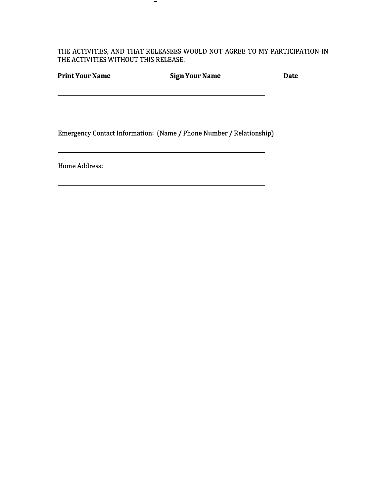**THE ACTIVITIES, AND THAT RELEASEES WOULD NOT AGREE TO MY PARTICIPATION IN THE ACTIVITIES WITHOUT THIS RELEASE.** 

| <b>Print Your Name</b> | <b>Sign Your Name</b> | <b>Date</b> |
|------------------------|-----------------------|-------------|
|                        |                       |             |

**Emergency Contact Information: (Name / Phone Number / Relationship)** 

**Home Address:**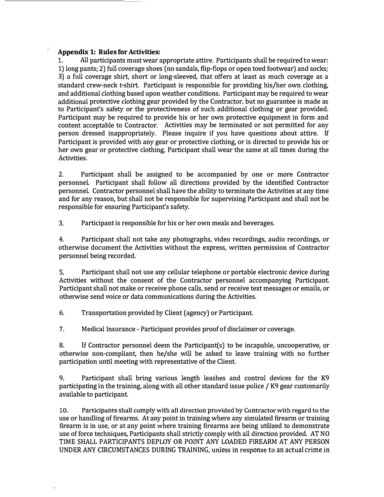#### **Appendix 1: Rules for Activities:**

**1. All participants must wear appropriate attire. Participants shall be required to wear: 1) long pants; 2) full coverage shoes (no sandals, flip-flops or open toed footwear) and socks; 3) a full coverage shirt, short or long-sleeved, that offers at least as much coverage as a standard crew-neck t-shirt. Participant is responsible for providing his/her own clothing, and additional clothing based upon weather conditions. Participant may be required to wear additional protective clothing gear provided by the Contractor, but no guarantee is made as to Participant's safety or the protectiveness of such additional clothing or gear provided. Participant may be required to provide his or her own protective equipment in form and content acceptable to Contractor. Activities may be terminated or not permitted for any person dressed inappropriately. Please inquire if you have questions about attire. If Participant is provided with any gear or protective clothing, or is directed to provide his or her own gear or protective clothing, Participant shall wear the same at all times during the Activities.** 

**2. Participant shall be assigned to be accompanied by one or more Contractor personnel. Participant shall follow all directions provided by the identified Contractor personnel. Contractor personnel shall have the ability to terminate the Activities at any time and for any reason, but shall not be responsible for supervising Participant and shall not be responsible for ensuring Participant's safety.** 

**3. Participant is responsible for his or her own meals and beverages.** 

**4. Participant shall not take any photographs, video recordings, audio recordings, or otherwise document the Activities without the express, written permission of Contractor personnel being recorded.** 

**5. Participant shall not use any cellular telephone or portable electronic device during Activities without the consent of the Contractor personnel accompanying Participant. Participant shall not make or receive phone calls, send or receive text messages or emails, or otherwise send voice or data communications during the Activities.** 

**6. Transportation provided by Client (agency) or Participant.** 

**7. Medical Insurance - Participant provides proof of disclaimer or coverage.** 

**8. If Contractor personnel deem the Participant(s) to be incapable, uncooperative, or otherwise non-compliant, then he/she will be asked to leave training with no further participation until meeting with representative of the Client.** 

**9. Participant shall bring various length leashes and control devices for the K9 participating in the training, along with all other standard issue police / K9 gear customarily available to participant.** 

**10. Participants shall comply with all direction provided by Contractor with regard to the use or handling of firearms. At any point in training where any simulated firearm or training firearm is in use, or at any point where training firearms are being utilized to demonstrate use of force techniques, Participants shall strictly comply with all direction provided. AT NO TIME SHALL PARTICIPANTS DEPLOY OR POINT ANY LOADED FIREARM AT ANY PERSON UNDER ANY CIRCUMSTANCES DURING TRAINING, unless in response to an actual crime in**